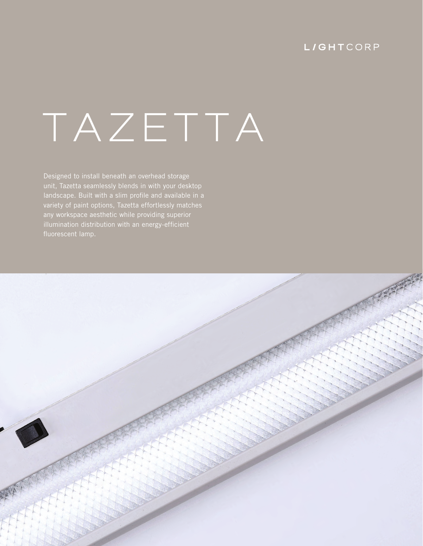## **L/GHTCORP**

# **TAZETTA**

Designed to install beneath an overhead storage unit, Tazetta seamlessly blends in with your desktop variety of paint options, Tazetta effortlessly matches any workspace aesthetic while providing superior illumination distribution with an energy-efficient

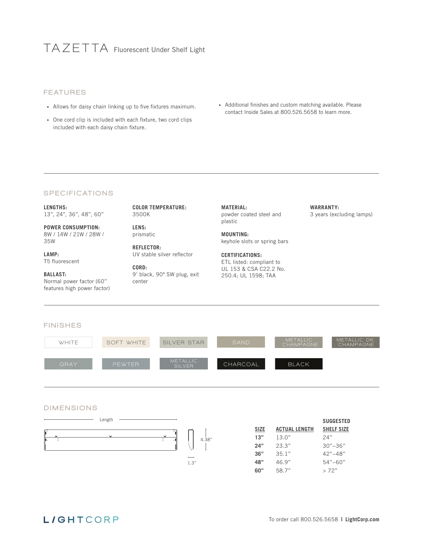# **TAZE T TA** Fluorescent Under Shelf Light

#### FEATURES

- Allows for daisy chain linking up to five fixtures maximum.
- One cord clip is included with each fixture, two cord clips included with each daisy chain fixture.
- Additional finishes and custom matching available. Please contact Inside Sales at 800.526.5658 to learn more.

**WARRANTY:**

3 years (excluding lamps)

#### **SPECIFICATIONS**

**LENGTHS:** 13", 24", 36", 48", 60"

**POWER CONSUMPTION:** 8W / 14W / 21W / 28W / 35W

**LAMP:** T5 fluorescent

#### **BALLAST:**

Normal power factor (60" features high power factor) **COLOR TEMPERATURE:** 3500K

**LENS:** prismatic

**REFLECTOR:** UV stable silver reflector

**CORD:** 9' black, 90° SW plug, exit center

**MATERIAL:** powder coated steel and plastic

**MOUNTING:**  keyhole slots or spring bars

**CERTIFICATIONS:** ETL listed: compliant to UL 153 & CSA C22.2 No. 250.4; UL 1598; TAA



#### DIMENSIONS



|             |                      | <b>SUGGESTED</b>  |
|-------------|----------------------|-------------------|
| <b>SIZE</b> | <b>ACTUAL LENGTH</b> | <b>SHELF SIZE</b> |
| 13"         | 13.0"                | 24"               |
| <b>24"</b>  | 23.3"                | $30" - 36"$       |
| 36"         | 35.1"                | $42" - 48"$       |
| 48"         | 46.9"                | $54" - 60"$       |
| 60"         | 58.7"                | >72"              |

## **L/GHTCORP**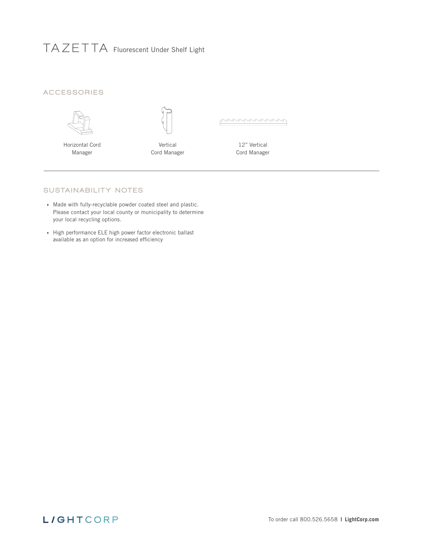# **TAZE T TA** Fluorescent Under Shelf Light

### ACCESSORIES



Horizontal Cord Manager

Vertical Cord Manager poroconomoro

12" Vertical Cord Manager

#### SUSTAINABILITY NOTES

- Made with fully-recyclable powder coated steel and plastic. Please contact your local county or municipality to determine your local recycling options.
- High performance ELE high power factor electronic ballast available as an option for increased efficiency